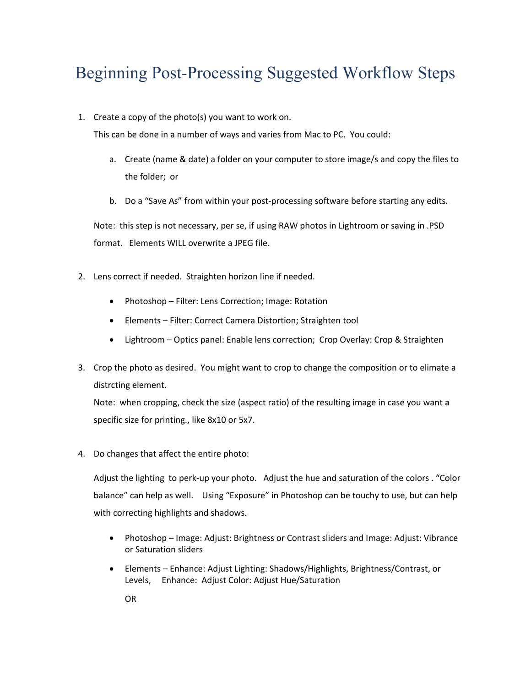## Beginning Post-Processing Suggested Workflow Steps

1. Create a copy of the photo(s) you want to work on.

This can be done in a number of ways and varies from Mac to PC. You could:

- a. Create (name & date) a folder on your computer to store image/s and copy the files to the folder; or
- b. Do a "Save As" from within your post-processing software before starting any edits.

Note: this step is not necessary, per se, if using RAW photos in Lightroom or saving in .PSD format. Elements WILL overwrite a JPEG file.

- 2. Lens correct if needed. Straighten horizon line if needed.
	- Photoshop Filter: Lens Correction; Image: Rotation
	- Elements Filter: Correct Camera Distortion; Straighten tool
	- Lightroom Optics panel: Enable lens correction; Crop Overlay: Crop & Straighten
- 3. Crop the photo as desired. You might want to crop to change the composition or to elimate a distrcting element.

Note: when cropping, check the size (aspect ratio) of the resulting image in case you want a specific size for printing., like 8x10 or 5x7.

4. Do changes that affect the entire photo:

Adjust the lighting to perk-up your photo. Adjust the hue and saturation of the colors . "Color balance" can help as well. Using "Exposure" in Photoshop can be touchy to use, but can help with correcting highlights and shadows.

- Photoshop Image: Adjust: Brightness or Contrast sliders and Image: Adjust: Vibrance or Saturation sliders
- Elements Enhance: Adjust Lighting: Shadows/Highlights, Brightness/Contrast, or Levels, Enhance: Adjust Color: Adjust Hue/Saturation